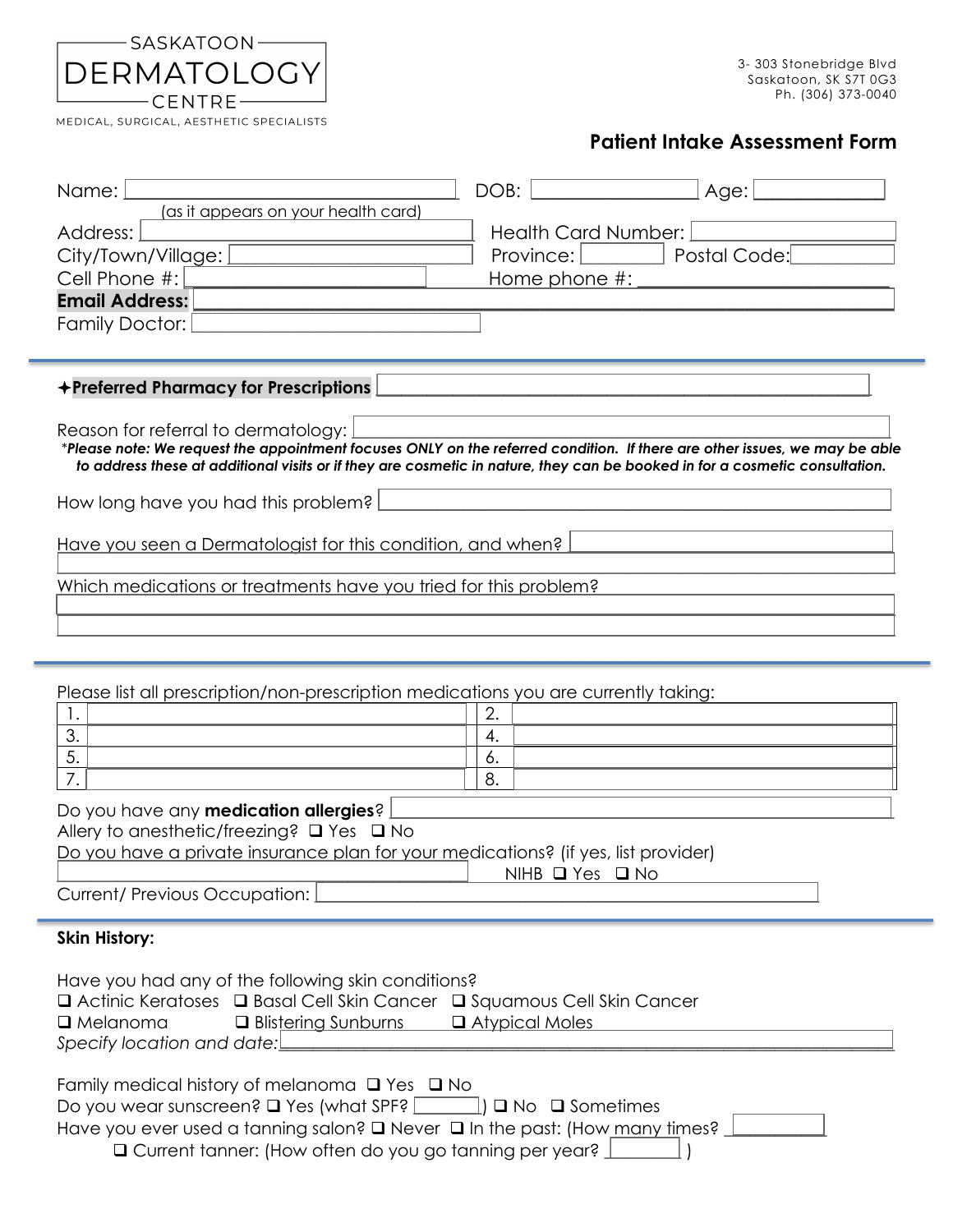| —— SASKATOON ———— |
|-------------------|
| DERMATOLOGY       |
| $-$ Centre $-$    |

MEDICAL, SURGICAL, AESTHETIC SPECIALISTS

## **Patient Intake Assessment Form**

| Name:                                                                        | DOB:<br>Age:                                                                                                                                                                                                                                              |  |  |  |
|------------------------------------------------------------------------------|-----------------------------------------------------------------------------------------------------------------------------------------------------------------------------------------------------------------------------------------------------------|--|--|--|
| (as it appears on your health card)                                          |                                                                                                                                                                                                                                                           |  |  |  |
| Address:                                                                     | <b>Health Card Number:</b>                                                                                                                                                                                                                                |  |  |  |
| City/Town/Village:                                                           | Postal Code:<br>Province:                                                                                                                                                                                                                                 |  |  |  |
| Cell Phone #:                                                                | Home phone $#$ :                                                                                                                                                                                                                                          |  |  |  |
| <b>Email Address:</b>                                                        |                                                                                                                                                                                                                                                           |  |  |  |
| Family Doctor:                                                               |                                                                                                                                                                                                                                                           |  |  |  |
|                                                                              |                                                                                                                                                                                                                                                           |  |  |  |
| +Preferred Pharmacy for Prescriptions<br>Reason for referral to dermatology: | *Please note: We request the appointment focuses ONLY on the referred condition. If there are other issues, we may be able<br>to address these at additional visits or if they are cosmetic in nature, they can be booked in for a cosmetic consultation. |  |  |  |
| How long have you had this problem?                                          |                                                                                                                                                                                                                                                           |  |  |  |
| Have you seen a Dermatologist for this condition, and when?                  |                                                                                                                                                                                                                                                           |  |  |  |
| Which medications or treatments have you tried for this problem?             |                                                                                                                                                                                                                                                           |  |  |  |

Please list all prescription/non-prescription medications you are currently taking:

| $\sim$ |
|--------|
|        |
| ັ      |
| J.     |

 $\mathcal{L}_\mathcal{L} = \mathcal{L}_\mathcal{L} = \mathcal{L}_\mathcal{L} = \mathcal{L}_\mathcal{L} = \mathcal{L}_\mathcal{L} = \mathcal{L}_\mathcal{L} = \mathcal{L}_\mathcal{L} = \mathcal{L}_\mathcal{L} = \mathcal{L}_\mathcal{L} = \mathcal{L}_\mathcal{L} = \mathcal{L}_\mathcal{L} = \mathcal{L}_\mathcal{L} = \mathcal{L}_\mathcal{L} = \mathcal{L}_\mathcal{L} = \mathcal{L}_\mathcal{L} = \mathcal{L}_\mathcal{L} = \mathcal{L}_\mathcal{L}$ 

| Do you have any <b>medication allergies</b> ? $\Box$                               |                           |
|------------------------------------------------------------------------------------|---------------------------|
| Allery to anesthetic/freezing? $\boxed{\square}$ Yes $\boxed{\square}$ No          |                           |
| Do you have a private insurance plan for your medications? (if yes, list provider) |                           |
|                                                                                    | $NIHB$ $Q$ $Yes$ $Q$ $No$ |

Current/ Previous Occupation: [

## **Skin History:**

| Have you had any of the following skin conditions?<br>$\boxed{\Box}$ Actinic Keratoses $\boxed{\Box}$ Basal Cell Skin Cancer<br><b>D</b> Squamous Cell Skin Cancer<br>$\vert$ a <i>Melanoma</i><br>$\Box$ Atypical Moles<br>$\Box$ Blistering Sunburns<br>Specify location and date:                                       |
|----------------------------------------------------------------------------------------------------------------------------------------------------------------------------------------------------------------------------------------------------------------------------------------------------------------------------|
| Family medical history of melanoma $\Box$ Yes $\Box$ No<br>Do you wear sunscreen? $\Box$ Yes (what $\overline{SPF}$ ? $\Box$ ) $\Box$ No $\Box$ Sometimes<br>Have you ever used a tanning salon? Never $\boxed{a}$ In the past: (How many times? _<br>$\Box$ Current tanner: (How often do you go tanning per year? $\bot$ |